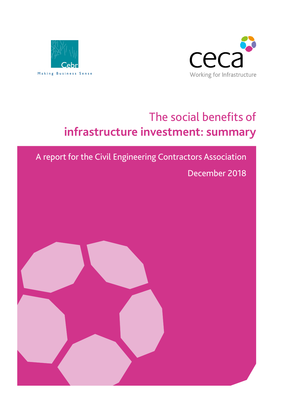



# The social benefits of **infrastructure investment: summary**

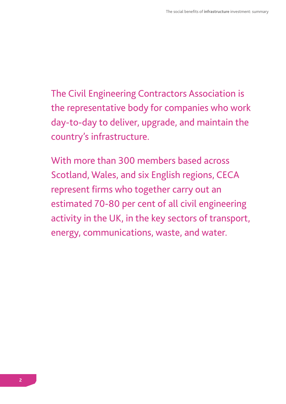The Civil Engineering Contractors Association is the representative body for companies who work day-to-day to deliver, upgrade, and maintain the country's infrastructure.

With more than 300 members based across Scotland, Wales, and six English regions, CECA represent firms who together carry out an estimated 70-80 per cent of all civil engineering activity in the UK, in the key sectors of transport, energy, communications, waste, and water.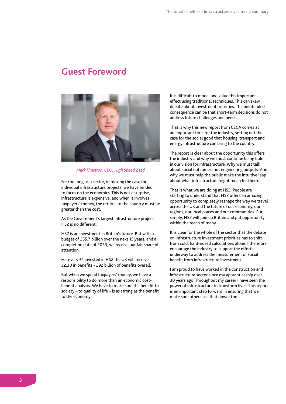### **Guest Foreword**



*Mark Thurston, CEO, High Speed 2 Ltd*

For too long as a sector, in making the case for individual infrastructure projects, we have tended to focus on the economics. This is not a surprise, infrastructure is expensive, and when it involves taxpayers' money, the returns to the country must be greater than the cost.

As the Government's largest infrastructure project HS2 is no different.

HS2 is an investment in Britain's future. But with a budget of £55.7 billion over the next 15 years, and a completion date of 2033, we receive our fair share of attention.

For every £1 invested in HS2 the UK will receive £2.30 in benefits - £92 billion of benefits overall.

But when we spend taxpayers' money, we have a responsibility to do more than an economic costbenefit analysis. We have to make sure the benefit to society – to quality of life – is as strong as the benefit to the economy.

It is difficult to model and value this important effect using traditional techniques. This can skew debate about investment priorities. The unintended consequence can be that short-term decisions do not address future challenges and needs.

That is why this new report from CECA comes at an important time for the industry, setting out the case for the social good that housing, transport and energy infrastructure can bring to the country.

The report is clear about the opportunity this offers the industry and why we must continue being bold in our vision for infrastructure. Why we must talk about social outcomes, not engineering outputs. And why we must help the public make the intuitive leap about what infrastructure might mean for them.

That is what we are doing at HS2. People are starting to understand that HS2 offers an amazing opportunity to completely reshape the way we travel across the UK and the future of our economy, our regions, our local places and our communities. Put simply, HS2 will join up Britain and put opportunity within the reach of many.

It is clear for the whole of the sector that the debate on infrastructure investment priorities has to shift from cold, hard-nosed calculations alone. I therefore encourage the industry to support the efforts underway to address the measurement of social benefit from infrastructure investment.

I am proud to have worked in the construction and infrastructure sector since my apprenticeship over 30 years ago. Throughout my career I have seen the power of infrastructure to transform lives. This report is an important step forward in ensuring that we make sure others see that power too.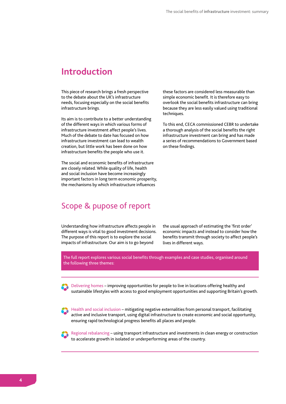### **Introduction**

This piece of research brings a fresh perspective to the debate about the UK's infrastructure needs, focusing especially on the social benefits infrastructure brings.

Its aim is to contribute to a better understanding of the different ways in which various forms of infrastructure investment affect people's lives. Much of the debate to date has focused on how infrastructure investment can lead to wealth creation, but little work has been done on how infrastructure benefits the people who use it.

The social and economic benefits of infrastructure are closely related. While quality of life, health and social inclusion have become increasingly important factors in long term economic prosperity, the mechanisms by which infrastructure influences

these factors are considered less measurable than simple economic benefit. It is therefore easy to overlook the social benefits infrastructure can bring because they are less easily valued using traditional techniques.

To this end, CECA commissioned CEBR to undertake a thorough analysis of the social benefits the right infrastructure investment can bring and has made a series of recommendations to Government based on these findings.

### Scope & pupose of report

Understanding how infrastructure affects people in different ways is vital to good investment decisions. The purpose of this report is to explore the social impacts of infrastructure. Our aim is to go beyond

the usual approach of estimating the 'first order' economic impacts and instead to consider how the benefits transmit through society to affect people's lives in different ways.

The full report explores various social benefits through examples and case studies, organised around the following three themes:

Delivering homes – improving opportunities for people to live in locations offering healthy and sustainable lifestyles with access to good employment opportunities and supporting Britain's growth.

Health and social inclusion – mitigating negative externalities from personal transport, facilitating active and inclusive transport, using digital infrastructure to create economic and social opportunity, ensuring rapid technological progress benefits all places and people.



Regional rebalancing – using transport infrastructure and investments in clean energy or construction to accelerate growth in isolated or underperforming areas of the country.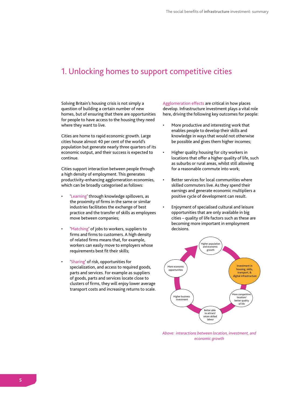### 1. Unlocking homes to support competitive cities

Solving Britain's housing crisis is not simply a question of building a certain number of new homes, but of ensuring that there are opportunities for people to have access to the housing they need where they want to live.

Cities are home to rapid economic growth. Large cities house almost 40 per cent of the world's population but generate nearly three quarters of its economic output, and their success is expected to continue.

Cities support interaction between people through a high density of employment. This generates productivity-enhancing agglomeration economies, which can be broadly categorised as follows:

- 'Learning' through knowledge spillovers, as the proximity of firms in the same or similar industries facilitates the exchange of best practice and the transfer of skills as employees move between companies;
- 'Matching' of jobs to workers, suppliers to firms and firms to customers. A high density of related firms means that, for example, workers can easily move to employers whose requirements best fit their skills;
- 'Sharing' of risk, opportunities for specialization, and access to required goods, parts and services. For example as suppliers of goods, parts and services locate close to clusters of firms, they will enjoy lower average transport costs and increasing returns to scale.

Agglomeration effects are critical in how places develop. Infrastructure investment plays a vital role here, driving the following key outcomes for people:

- More productive and interesting work that enables people to develop their skills and knowledge in ways that would not otherwise be possible and gives them higher incomes;
- Higher quality housing for city workers in locations that offer a higher quality of life, such as suburbs or rural areas, whilst still allowing for a reasonable commute into work;
- Better services for local communities where skilled commuters live. As they spend their earnings and generate economic multipliers a positive cycle of development can result.
- Enjoyment of specialised cultural and leisure opportunities that are only available in big cities – quality of life factors such as these are becoming more important in employment decisions.



*Above: interactions between location, investment, and economic growth*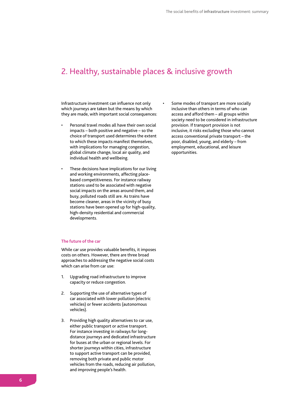# 2. Healthy, sustainable places & inclusive growth

Infrastructure investment can influence not only which journeys are taken but the means by which they are made, with important social consequences:

- Personal travel modes all have their own social impacts – both positive and negative – so the choice of transport used determines the extent to which these impacts manifest themselves, with implications for managing congestion, global climate change, local air quality, and individual health and wellbeing.
- These decisions have implications for our living and working environments, affecting placebased competitiveness. For instance railway stations used to be associated with negative social impacts on the areas around them, and busy, polluted roads still are. As trains have become cleaner, areas in the vicinity of busy stations have been opened up for high-quality, high-density residential and commercial developments.

### **The future of the car**

While car use provides valuable benefits, it imposes costs on others. However, there are three broad approaches to addressing the negative social costs which can arise from car use:

- 1. Upgrading road infrastructure to improve capacity or reduce congestion.
- 2. Supporting the use of alternative types of car associated with lower pollution (electric vehicles) or fewer accidents (autonomous vehicles).
- 3. Providing high quality alternatives to car use, either public transport or active transport. For instance investing in railways for longdistance journeys and dedicated infrastructure for buses at the urban or regional levels. For shorter journeys within cities, infrastructure to support active transport can be provided, removing both private and public motor vehicles from the roads, reducing air pollution, and improving people's health.

Some modes of transport are more socially inclusive than others in terms of who can access and afford them – all groups within society need to be considered in infrastructure provision. If transport provision is not inclusive, it risks excluding those who cannot access conventional private transport – the poor, disabled, young, and elderly – from employment, educational, and leisure opportunities.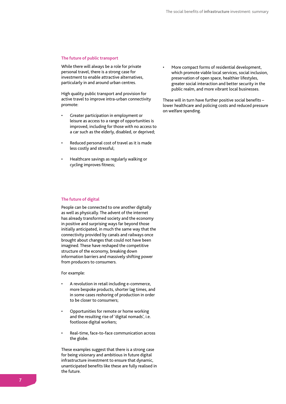#### **The future of public transport**

While there will always be a role for private personal travel, there is a strong case for investment to enable attractive alternatives, particularly in and around urban centres.

High quality public transport and provision for active travel to improve intra-urban connectivity promote:

- Greater participation in employment or leisure as access to a range of opportunities is improved, including for those with no access to a car such as the elderly, disabled, or deprived;
- Reduced personal cost of travel as it is made less costly and stressful;
- Healthcare savings as regularly walking or cycling improves fitness;

### **The future of digital**

People can be connected to one another digitally as well as physically. The advent of the internet has already transformed society and the economy in positive and surprising ways far beyond those initially anticipated, in much the same way that the connectivity provided by canals and railways once brought about changes that could not have been imagined. These have reshaped the competitive structure of the economy, breaking down information barriers and massively shifting power from producers to consumers.

For example:

- A revolution in retail including e-commerce, more bespoke products, shorter lag times, and in some cases reshoring of production in order to be closer to consumers;
- Opportunities for remote or home working and the resulting rise of 'digital nomads', i.e. footloose digital workers;
- Real-time, face-to-face communication across the globe.

These examples suggest that there is a strong case for being visionary and ambitious in future digital infrastructure investment to ensure that dynamic, unanticipated benefits like these are fully realised in the future.

• More compact forms of residential development, which promote viable local services, social inclusion, preservation of open space, healthier lifestyles, greater social interaction and better security in the public realm, and more vibrant local businesses.

These will in turn have further positive social benefits – lower healthcare and policing costs and reduced pressure on welfare spending.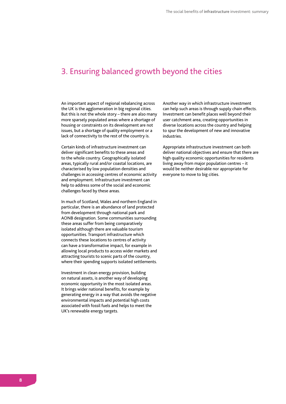# 3. Ensuring balanced growth beyond the cities

An important aspect of regional rebalancing across the UK is the agglomeration in big regional cities. But this is not the whole story – there are also many more sparsely populated areas where a shortage of housing or constraints on its development are not issues, but a shortage of quality employment or a lack of connectivity to the rest of the country is.

Certain kinds of infrastructure investment can deliver significant benefits to these areas and to the whole country. Geographically isolated areas, typically rural and/or coastal locations, are characterised by low population densities and challenges in accessing centres of economic activity and employment. Infrastructure investment can help to address some of the social and economic challenges faced by these areas.

In much of Scotland, Wales and northern England in particular, there is an abundance of land protected from development through national park and AONB designation. Some communities surrounding these areas suffer from being comparatively isolated although there are valuable tourism opportunities. Transport infrastructure which connects these locations to centres of activity can have a transformative impact, for example in allowing local products to access wider markets and attracting tourists to scenic parts of the country, where their spending supports isolated settlements.

Investment in clean energy provision, building on natural assets, is another way of developing economic opportunity in the most isolated areas. It brings wider national benefits, for example by generating energy in a way that avoids the negative environmental impacts and potential high costs associated with fossil fuels and helps to meet the UK's renewable energy targets.

Another way in which infrastructure investment can help such areas is through supply chain effects. Investment can benefit places well beyond their user catchment area, creating opportunities in diverse locations across the country and helping to spur the development of new and innovative industries.

Appropriate infrastructure investment can both deliver national objectives and ensure that there are high quality economic opportunities for residents living away from major population centres – it would be neither desirable nor appropriate for everyone to move to big cities.